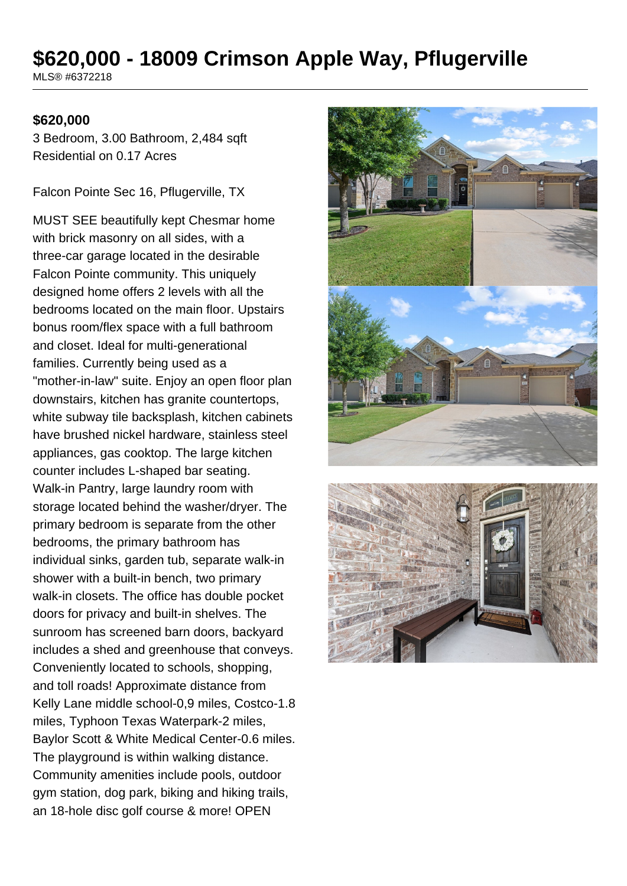# **\$620,000 - 18009 Crimson Apple Way, Pflugerville**

MLS® #6372218

#### **\$620,000**

3 Bedroom, 3.00 Bathroom, 2,484 sqft Residential on 0.17 Acres

Falcon Pointe Sec 16, Pflugerville, TX

MUST SEE beautifully kept Chesmar home with brick masonry on all sides, with a three-car garage located in the desirable Falcon Pointe community. This uniquely designed home offers 2 levels with all the bedrooms located on the main floor. Upstairs bonus room/flex space with a full bathroom and closet. Ideal for multi-generational families. Currently being used as a "mother-in-law" suite. Enjoy an open floor plan downstairs, kitchen has granite countertops, white subway tile backsplash, kitchen cabinets have brushed nickel hardware, stainless steel appliances, gas cooktop. The large kitchen counter includes L-shaped bar seating. Walk-in Pantry, large laundry room with storage located behind the washer/dryer. The primary bedroom is separate from the other bedrooms, the primary bathroom has individual sinks, garden tub, separate walk-in shower with a built-in bench, two primary walk-in closets. The office has double pocket doors for privacy and built-in shelves. The sunroom has screened barn doors, backyard includes a shed and greenhouse that conveys. Conveniently located to schools, shopping, and toll roads! Approximate distance from Kelly Lane middle school-0,9 miles, Costco-1.8 miles, Typhoon Texas Waterpark-2 miles, Baylor Scott & White Medical Center-0.6 miles. The playground is within walking distance. Community amenities include pools, outdoor gym station, dog park, biking and hiking trails, an 18-hole disc golf course & more! OPEN

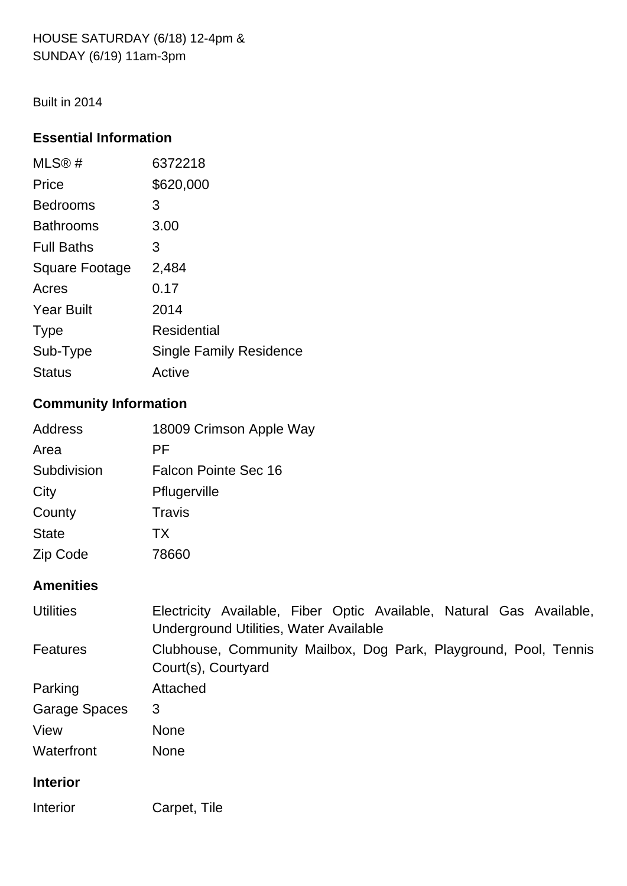HOUSE SATURDAY (6/18) 12-4pm & SUNDAY (6/19) 11am-3pm

Built in 2014

## **Essential Information**

| MLS@#                 | 6372218                        |
|-----------------------|--------------------------------|
| Price                 | \$620,000                      |
| <b>Bedrooms</b>       | 3                              |
| <b>Bathrooms</b>      | 3.00                           |
| <b>Full Baths</b>     | З                              |
| <b>Square Footage</b> | 2,484                          |
| Acres                 | 0.17                           |
| <b>Year Built</b>     | 2014                           |
| <b>Type</b>           | Residential                    |
| Sub-Type              | <b>Single Family Residence</b> |
| <b>Status</b>         | Active                         |

## **Community Information**

| 18009 Crimson Apple Way |
|-------------------------|
|                         |
| Falcon Pointe Sec 16    |
|                         |
|                         |
|                         |
|                         |
|                         |

## **Amenities**

| <b>Utilities</b> | Electricity Available, Fiber Optic Available, Natural Gas Available,<br>Underground Utilities, Water Available |
|------------------|----------------------------------------------------------------------------------------------------------------|
| Features         | Clubhouse, Community Mailbox, Dog Park, Playground, Pool, Tennis<br>Court(s), Courtyard                        |
| Parking          | Attached                                                                                                       |
| Garage Spaces    | 3                                                                                                              |
| View             | <b>None</b>                                                                                                    |
| Waterfront       | <b>None</b>                                                                                                    |
| <b>Interior</b>  |                                                                                                                |
| Interior         | Carpet, Tile                                                                                                   |